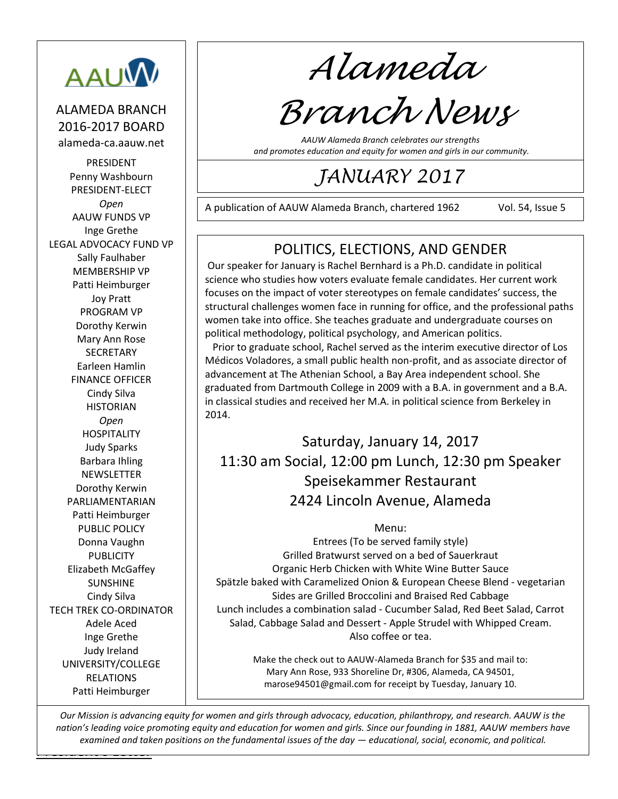

ALAMEDA BRANCH 2016-2017 BOARD alameda-ca.aauw.net

PRESIDENT Penny Washbourn PRESIDENT-ELECT *Open* AAUW FUNDS VP Inge Grethe LEGAL ADVOCACY FUND VP Sally Faulhaber MEMBERSHIP VP Patti Heimburger Joy Pratt PROGRAM VP Dorothy Kerwin Mary Ann Rose **SECRETARY** Earleen Hamlin FINANCE OFFICER Cindy Silva **HISTORIAN** *Open* **HOSPITALITY** Judy Sparks Barbara Ihling **NEWSLETTER** Dorothy Kerwin PARLIAMENTARIAN Patti Heimburger PUBLIC POLICY Donna Vaughn **PUBLICITY** Elizabeth McGaffey SUNSHINE Cindy Silva TECH TREK CO-ORDINATOR Adele Aced Inge Grethe Judy Ireland UNIVERSITY/COLLEGE RELATIONS Patti Heimburger

*Alameda*

# *Branch News*

*AAUW Alameda Branch celebrates our strengths and promotes education and equity for women and girls in our community.*

# *JANUARY 2017*

A publication of AAUW Alameda Branch, chartered 1962 Vol. 54, Issue 5

221210

# POLITICS, ELECTIONS, AND GENDER

Our speaker for January is Rachel Bernhard is a Ph.D. candidate in political science who studies how voters evaluate female candidates. Her current work focuses on the impact of voter stereotypes on female candidates' success, the structural challenges women face in running for office, and the professional paths women take into office. She teaches graduate and undergraduate courses on political methodology, political psychology, and American politics.

 Prior to graduate school, Rachel served as the interim executive director of Los Médicos Voladores, a small public health non-profit, and as associate director of advancement at The Athenian School, a Bay Area independent school. She graduated from Dartmouth College in 2009 with a B.A. in government and a B.A. in classical studies and received her M.A. in political science from Berkeley in 2014.

# Saturday, January 14, 2017 11:30 am Social, 12:00 pm Lunch, 12:30 pm Speaker Speisekammer Restaurant 2424 Lincoln Avenue, Alameda

#### Menu:

Entrees (To be served family style) Grilled Bratwurst served on a bed of Sauerkraut Organic Herb Chicken with White Wine Butter Sauce Spätzle baked with Caramelized Onion & European Cheese Blend - vegetarian Sides are Grilled Broccolini and Braised Red Cabbage Lunch includes a combination salad - Cucumber Salad, Red Beet Salad, Carrot Salad, Cabbage Salad and Dessert - Apple Strudel with Whipped Cream. Also coffee or tea.

> Make the check out to AAUW-Alameda Branch for \$35 and mail to: Mary Ann Rose, 933 Shoreline Dr, #306, Alameda, CA 94501, [marose94501@gmail.com](mailto:marose94501@gmail.com) for receipt by Tuesday, January 10.

<u>Letters and the Letters and</u> *Our Mission is advancing equity for women and girls through advocacy, education, philanthropy, and research. AAUW is the nation's leading voice promoting equity and education for women and girls. Since our founding in 1881, AAUW members have examined and taken positions on the fundamental issues of the day — educational, social, economic, and political.*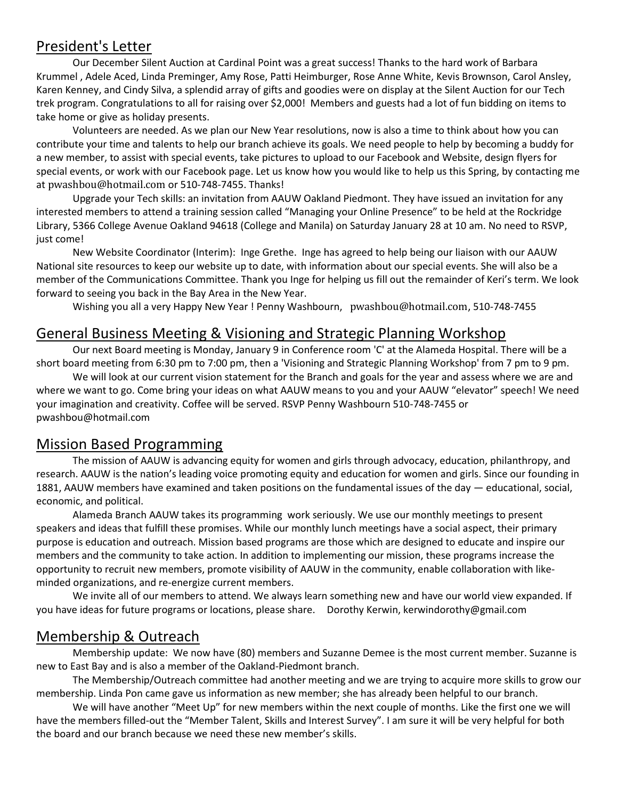#### President's Letter

Our December Silent Auction at Cardinal Point was a great success! Thanks to the hard work of Barbara Krummel , Adele Aced, Linda Preminger, Amy Rose, Patti Heimburger, Rose Anne White, Kevis Brownson, Carol Ansley, Karen Kenney, and Cindy Silva, a splendid array of gifts and goodies were on display at the Silent Auction for our Tech trek program. Congratulations to all for raising over \$2,000! Members and guests had a lot of fun bidding on items to take home or give as holiday presents.

Volunteers are needed. As we plan our New Year resolutions, now is also a time to think about how you can contribute your time and talents to help our branch achieve its goals. We need people to help by becoming a buddy for a new member, to assist with special events, take pictures to upload to our Facebook and Website, design flyers for special events, or work with our Facebook page. Let us know how you would like to help us this Spring, by contacting me at [pwashbou@hotmail.com](mailto:pwashbou@hotmail.com) or 510-748-7455. Thanks!

Upgrade your Tech skills: an invitation from AAUW Oakland Piedmont. They have issued an invitation for any interested members to attend a training session called "Managing your Online Presence" to be held at the Rockridge Library, 5366 College Avenue Oakland 94618 (College and Manila) on Saturday January 28 at 10 am. No need to RSVP, just come!

New Website Coordinator (Interim): Inge Grethe. Inge has agreed to help being our liaison with our AAUW National site resources to keep our website up to date, with information about our special events. She will also be a member of the Communications Committee. Thank you Inge for helping us fill out the remainder of Keri's term. We look forward to seeing you back in the Bay Area in the New Year.

Wishing you all a very Happy New Year ! Penny Washbourn, [pwashbou@hotmail.com](mailto:pwashbou@hotmail.com), 510-748-7455

#### General Business Meeting & Visioning and Strategic Planning Workshop

Our next Board meeting is Monday, January 9 in Conference room 'C' at the Alameda Hospital. There will be a short board meeting from 6:30 pm to 7:00 pm, then a 'Visioning and Strategic Planning Workshop' from 7 pm to 9 pm.

We will look at our current vision statement for the Branch and goals for the year and assess where we are and where we want to go. Come bring your ideas on what AAUW means to you and your AAUW "elevator" speech! We need your imagination and creativity. Coffee will be served. RSVP Penny Washbourn 510-748-7455 or pwashbou@hotmail.com

#### Mission Based Programming

The mission of AAUW is advancing equity for women and girls through advocacy, education, philanthropy, and research. AAUW is the nation's leading voice promoting equity and education for women and girls. Since our founding in 1881, AAUW members have examined and taken positions on the fundamental issues of the day — educational, social, economic, and political.

Alameda Branch AAUW takes its programming work seriously. We use our monthly meetings to present speakers and ideas that fulfill these promises. While our monthly lunch meetings have a social aspect, their primary purpose is education and outreach. Mission based programs are those which are designed to educate and inspire our members and the community to take action. In addition to implementing our mission, these programs increase the opportunity to recruit new members, promote visibility of AAUW in the community, enable collaboration with likeminded organizations, and re-energize current members.

We invite all of our members to attend. We always learn something new and have our world view expanded. If you have ideas for future programs or locations, please share. Dorothy Kerwin, kerwindorothy@gmail.com

#### Membership & Outreach

Membership update: We now have (80) members and Suzanne Demee is the most current member. Suzanne is new to East Bay and is also a member of the Oakland-Piedmont branch.

The Membership/Outreach committee had another meeting and we are trying to acquire more skills to grow our membership. Linda Pon came gave us information as new member; she has already been helpful to our branch.

We will have another "Meet Up" for new members within the next couple of months. Like the first one we will have the members filled-out the "Member Talent, Skills and Interest Survey". I am sure it will be very helpful for both the board and our branch because we need these new member's skills.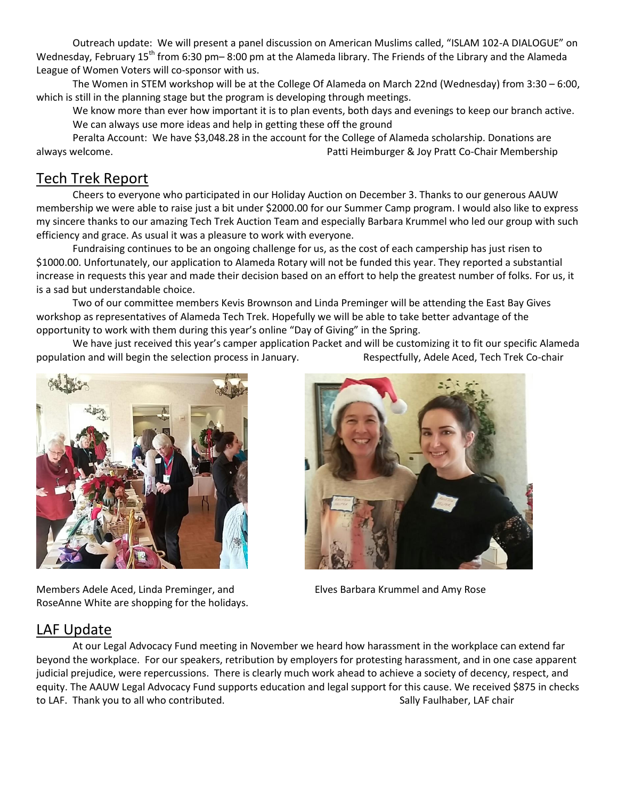Outreach update: We will present a panel discussion on American Muslims called, "ISLAM 102-A DIALOGUE" on Wednesday, February 15<sup>th</sup> from 6:30 pm– 8:00 pm at the Alameda library. The Friends of the Library and the Alameda League of Women Voters will co-sponsor with us.

The Women in STEM workshop will be at the College Of Alameda on March 22nd (Wednesday) from 3:30 – 6:00, which is still in the planning stage but the program is developing through meetings.

We know more than ever how important it is to plan events, both days and evenings to keep our branch active. We can always use more ideas and help in getting these off the ground

Peralta Account: We have \$3,048.28 in the account for the College of Alameda scholarship. Donations are always welcome. Patti Heimburger & Joy Pratt Co-Chair Membership

# Tech Trek Report

Cheers to everyone who participated in our Holiday Auction on December 3. Thanks to our generous AAUW membership we were able to raise just a bit under \$2000.00 for our Summer Camp program. I would also like to express my sincere thanks to our amazing Tech Trek Auction Team and especially Barbara Krummel who led our group with such efficiency and grace. As usual it was a pleasure to work with everyone.

Fundraising continues to be an ongoing challenge for us, as the cost of each campership has just risen to \$1000.00. Unfortunately, our application to Alameda Rotary will not be funded this year. They reported a substantial increase in requests this year and made their decision based on an effort to help the greatest number of folks. For us, it is a sad but understandable choice.

Two of our committee members Kevis Brownson and Linda Preminger will be attending the East Bay Gives workshop as representatives of Alameda Tech Trek. Hopefully we will be able to take better advantage of the opportunity to work with them during this year's online "Day of Giving" in the Spring.

We have just received this year's camper application Packet and will be customizing it to fit our specific Alameda population and will begin the selection process in January. Respectfully, Adele Aced, Tech Trek Co-chair



Members Adele Aced, Linda Preminger, and Elves Barbara Krummel and Amy Rose RoseAnne White are shopping for the holidays.



#### LAF Update

At our Legal Advocacy Fund meeting in November we heard how harassment in the workplace can extend far beyond the workplace. For our speakers, retribution by employers for protesting harassment, and in one case apparent judicial prejudice, were repercussions. There is clearly much work ahead to achieve a society of decency, respect, and equity. The AAUW Legal Advocacy Fund supports education and legal support for this cause. We received \$875 in checks to LAF. Thank you to all who contributed. Sally Faulhaber, LAF chair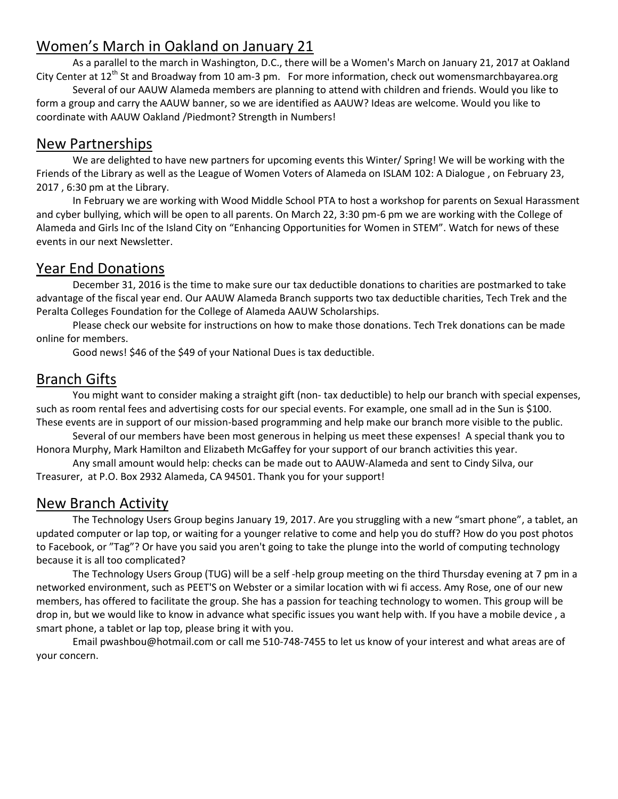# Women's March in Oakland on January 21

As a parallel to the march in Washington, D.C., there will be a Women's March on January 21, 2017 at Oakland City Center at 12<sup>th</sup> St and Broadway from 10 am-3 pm. For more information, check out womensmarchbayarea.org

Several of our AAUW Alameda members are planning to attend with children and friends. Would you like to form a group and carry the AAUW banner, so we are identified as AAUW? Ideas are welcome. Would you like to coordinate with AAUW Oakland /Piedmont? Strength in Numbers!

#### New Partnerships

We are delighted to have new partners for upcoming events this Winter/ Spring! We will be working with the Friends of the Library as well as the League of Women Voters of Alameda on ISLAM 102: A Dialogue , on February 23, 2017 , 6:30 pm at the Library.

In February we are working with Wood Middle School PTA to host a workshop for parents on Sexual Harassment and cyber bullying, which will be open to all parents. On March 22, 3:30 pm-6 pm we are working with the College of Alameda and Girls Inc of the Island City on "Enhancing Opportunities for Women in STEM". Watch for news of these events in our next Newsletter.

# Year End Donations

December 31, 2016 is the time to make sure our tax deductible donations to charities are postmarked to take advantage of the fiscal year end. Our AAUW Alameda Branch supports two tax deductible charities, Tech Trek and the Peralta Colleges Foundation for the College of Alameda AAUW Scholarships.

Please check our website for instructions on how to make those donations. Tech Trek donations can be made online for members.

Good news! \$46 of the \$49 of your National Dues is tax deductible.

#### Branch Gifts

You might want to consider making a straight gift (non- tax deductible) to help our branch with special expenses, such as room rental fees and advertising costs for our special events. For example, one small ad in the Sun is \$100. These events are in support of our mission-based programming and help make our branch more visible to the public.

Several of our members have been most generous in helping us meet these expenses! A special thank you to Honora Murphy, Mark Hamilton and Elizabeth McGaffey for your support of our branch activities this year.

Any small amount would help: checks can be made out to AAUW-Alameda and sent to Cindy Silva, our Treasurer, at P.O. Box 2932 Alameda, CA 94501. Thank you for your support!

#### New Branch Activity

The Technology Users Group begins January 19, 2017. Are you struggling with a new "smart phone", a tablet, an updated computer or lap top, or waiting for a younger relative to come and help you do stuff? How do you post photos to Facebook, or "Tag"? Or have you said you aren't going to take the plunge into the world of computing technology because it is all too complicated?

The Technology Users Group (TUG) will be a self -help group meeting on the third Thursday evening at 7 pm in a networked environment, such as PEET'S on Webster or a similar location with wi fi access. Amy Rose, one of our new members, has offered to facilitate the group. She has a passion for teaching technology to women. This group will be drop in, but we would like to know in advance what specific issues you want help with. If you have a mobile device , a smart phone, a tablet or lap top, please bring it with you.

Email [pwashbou@hotmail.com](mailto:pwashbou@hotmail.com) or call me 510-748-7455 to let us know of your interest and what areas are of your concern.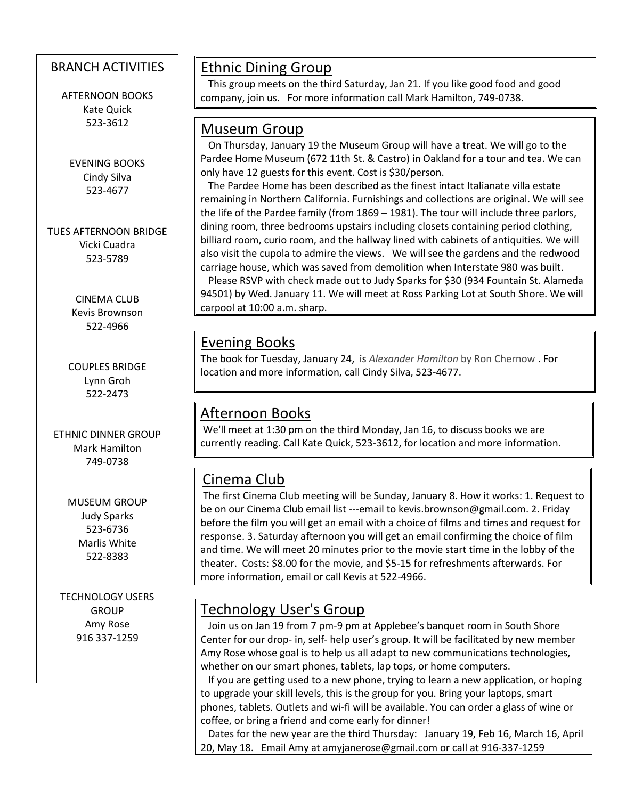#### BRANCH ACTIVITIES

AFTERNOON BOOKS Kate Quick 523-3612

EVENING BOOKS Cindy Silva 523-4677

TUES AFTERNOON BRIDGE Vicki Cuadra 523-5789

> CINEMA CLUB Kevis Brownson 522-4966

COUPLES BRIDGE Lynn Groh 522-2473

ETHNIC DINNER GROUP Mark Hamilton 749-0738

> MUSEUM GROUP Judy Sparks 523-6736 Marlis White 522-8383

TECHNOLOGY USERS GROUP Amy Rose 916 337-1259

 $\overline{\phantom{a}}$ 

# Ethnic Dining Group

 This group meets on the third Saturday, Jan 21. If you like good food and good company, join us. For more information call Mark Hamilton, 749-0738.

#### Museum Group

 On Thursday, January 19 the Museum Group will have a treat. We will go to the Pardee Home Museum (672 11th St. & Castro) in Oakland for a tour and tea. We can only have 12 guests for this event. Cost is \$30/person.

 The Pardee Home has been described as the finest intact Italianate villa estate remaining in Northern California. Furnishings and collections are original. We will see the life of the Pardee family (from 1869 – 1981). The tour will include three parlors, dining room, three bedrooms upstairs including closets containing period clothing, billiard room, curio room, and the hallway lined with cabinets of antiquities. We will also visit the cupola to admire the views. We will see the gardens and the redwood carriage house, which was saved from demolition when Interstate 980 was built. Please RSVP with check made out to Judy Sparks for \$30 (934 Fountain St. Alameda 94501) by Wed. January 11. We will meet at Ross Parking Lot at South Shore. We will carpool at 10:00 a.m. sharp.

#### Evening Books

The book for Tuesday, January 24, is *Alexander Hamilton* by Ron Chernow . For location and more information, call Cindy Silva, 523-4677.

# Afternoon Books

We'll meet at 1:30 pm on the third Monday, Jan 16, to discuss books we are currently reading. Call Kate Quick, 523-3612, for location and more information.

# Cinema Club

The first Cinema Club meeting will be Sunday, January 8. How it works: 1. Request to be on our Cinema Club email list ---email to [kevis.brownson@gmail.com.](mailto:kevis.brownson@gmail.com) 2. Friday before the film you will get an email with a choice of films and times and request for response. 3. Saturday afternoon you will get an email confirming the choice of film and time. We will meet 20 minutes prior to the movie start time in the lobby of the theater. Costs: \$8.00 for the movie, and \$5-15 for refreshments afterwards. For more information, email or call Kevis at 522-4966.

# Technology User's Group

 Join us on Jan 19 from 7 pm-9 pm at Applebee's banquet room in South Shore Center for our drop- in, self- help user's group. It will be facilitated by new member Amy Rose whose goal is to help us all adapt to new communications technologies, whether on our smart phones, tablets, lap tops, or home computers.

 If you are getting used to a new phone, trying to learn a new application, or hoping to upgrade your skill levels, this is the group for you. Bring your laptops, smart phones, tablets. Outlets and wi-fi will be available. You can order a glass of wine or coffee, or bring a friend and come early for dinner!

 Dates for the new year are the third Thursday: January 19, Feb 16, March 16, April 20, May 18. Email Amy at [amyjanerose@gmail.com](mailto:amyjanerose@gmail.com) or call at 916-337-1259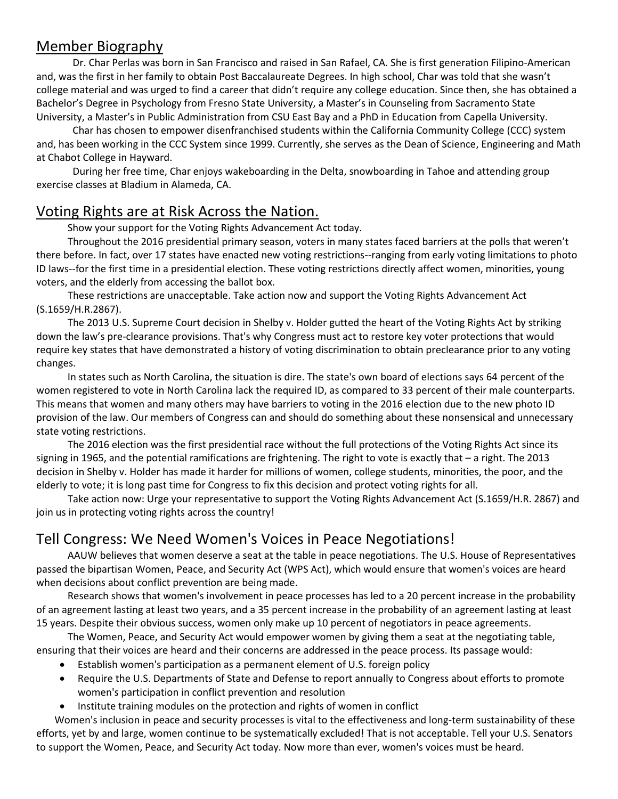#### Member Biography

Dr. Char Perlas was born in San Francisco and raised in San Rafael, CA. She is first generation Filipino-American and, was the first in her family to obtain Post Baccalaureate Degrees. In high school, Char was told that she wasn't college material and was urged to find a career that didn't require any college education. Since then, she has obtained a Bachelor's Degree in Psychology from Fresno State University, a Master's in Counseling from Sacramento State University, a Master's in Public Administration from CSU East Bay and a PhD in Education from Capella University.

Char has chosen to empower disenfranchised students within the California Community College (CCC) system and, has been working in the CCC System since 1999. Currently, she serves as the Dean of Science, Engineering and Math at Chabot College in Hayward.

During her free time, Char enjoys wakeboarding in the Delta, snowboarding in Tahoe and attending group exercise classes at Bladium in Alameda, CA.

#### Voting Rights are at Risk Across the Nation.

Show your support for the Voting Rights Advancement Act today.

Throughout the 2016 presidential primary season, voters in many states faced barriers at the polls that weren't there before. In fact, over 17 states have enacted new voting restrictions--ranging from early voting limitations to photo ID laws--for the first time in a presidential election. These voting restrictions directly affect women, minorities, young voters, and the elderly from accessing the ballot box.

These restrictions are unacceptable. Take action now and support the Voting Rights Advancement Act (S.1659/H.R.2867).

The 2013 U.S. Supreme Court decision in Shelby v. Holder gutted the heart of the Voting Rights Act by striking down the law's pre-clearance provisions. That's why Congress must act to restore key voter protections that would require key states that have demonstrated a history of voting discrimination to obtain preclearance prior to any voting changes.

In states such as North Carolina, the situation is dire. The state's own board of elections says 64 percent of the women registered to vote in North Carolina lack the required ID, as compared to 33 percent of their male counterparts. This means that women and many others may have barriers to voting in the 2016 election due to the new photo ID provision of the law. Our members of Congress can and should do something about these nonsensical and unnecessary state voting restrictions.

The 2016 election was the first presidential race without the full protections of the Voting Rights Act since its signing in 1965, and the potential ramifications are frightening. The right to vote is exactly that – a right. The 2013 decision in Shelby v. Holder has made it harder for millions of women, college students, minorities, the poor, and the elderly to vote; it is long past time for Congress to fix this decision and protect voting rights for all.

Take action now: Urge your representative to support the Voting Rights Advancement Act (S.1659/H.R. 2867) and join us in protecting voting rights across the country!

# Tell Congress: We Need Women's Voices in Peace Negotiations!

AAUW believes that women deserve a seat at the table in peace negotiations. The U.S. House of Representatives passed the bipartisan Women, Peace, and Security Act (WPS Act), which would ensure that women's voices are heard when decisions about conflict prevention are being made.

Research shows that [women's involvement](http://www.unwomen.org/en/what-we-do/peace-and-security/facts-and-figures) in peace processes has led to a 20 percent increase in the probability of an agreement lasting at least two years, and a 35 percent increase in the probability of an agreement lasting at least 15 years. Despite their obvious success, women only make up 10 percent of negotiators in peace agreements.

The Women, Peace, and Security Act would empower women by giving them a seat at the negotiating table, ensuring that their voices are heard and their concerns are addressed in the peace process. Its passage would:

- Establish women's participation as a permanent element of U.S. foreign policy
- Require the U.S. Departments of State and Defense to report annually to Congress about efforts to promote women's participation in conflict prevention and resolution
- Institute training modules on the protection and rights of women in conflict

Women's inclusion in peace and security processes is vital to the effectiveness and long-term sustainability of these efforts, yet by and large, women continue to be systematically excluded! That is not acceptable. Tell your U.S. Senators to support the Women, Peace, and Security Act today. Now more than ever, women's voices must be heard.